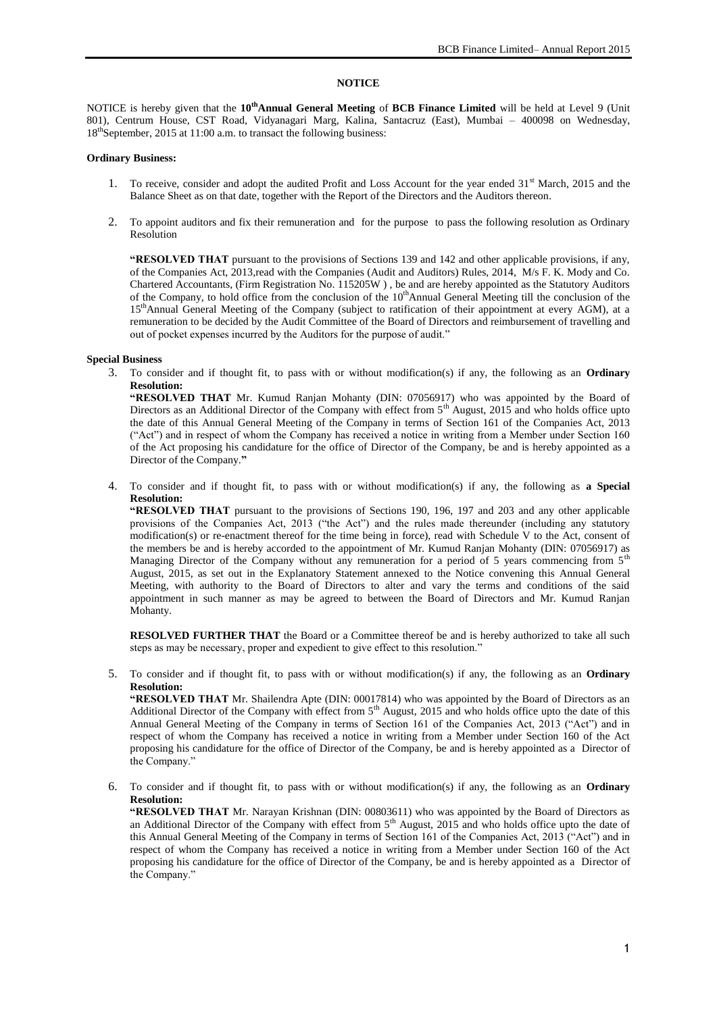# **NOTICE**

NOTICE is hereby given that the **10thAnnual General Meeting** of **BCB Finance Limited** will be held at Level 9 (Unit 801), Centrum House, CST Road, Vidyanagari Marg, Kalina, Santacruz (East), Mumbai – 400098 on Wednesday, 18<sup>th</sup>September, 2015 at 11:00 a.m. to transact the following business:

## **Ordinary Business:**

- 1. To receive, consider and adopt the audited Profit and Loss Account for the year ended  $31<sup>st</sup>$  March, 2015 and the Balance Sheet as on that date, together with the Report of the Directors and the Auditors thereon.
- 2. To appoint auditors and fix their remuneration and for the purpose to pass the following resolution as Ordinary Resolution

**"RESOLVED THAT** pursuant to the provisions of Sections 139 and 142 and other applicable provisions, if any, of the Companies Act, 2013,read with the Companies (Audit and Auditors) Rules, 2014, M/s F. K. Mody and Co. Chartered Accountants, (Firm Registration No. 115205W ) , be and are hereby appointed as the Statutory Auditors of the Company, to hold office from the conclusion of the  $10<sup>th</sup>A$ nnual General Meeting till the conclusion of the 15thAnnual General Meeting of the Company (subject to ratification of their appointment at every AGM), at a remuneration to be decided by the Audit Committee of the Board of Directors and reimbursement of travelling and out of pocket expenses incurred by the Auditors for the purpose of audit."

### **Special Business**

3. To consider and if thought fit, to pass with or without modification(s) if any, the following as an **Ordinary Resolution:**

**"RESOLVED THAT** Mr. Kumud Ranjan Mohanty (DIN: 07056917) who was appointed by the Board of Directors as an Additional Director of the Company with effect from 5<sup>th</sup> August, 2015 and who holds office upto the date of this Annual General Meeting of the Company in terms of Section 161 of the Companies Act, 2013 ("Act") and in respect of whom the Company has received a notice in writing from a Member under Section 160 of the Act proposing his candidature for the office of Director of the Company, be and is hereby appointed as a Director of the Company.**"**

4. To consider and if thought fit, to pass with or without modification(s) if any, the following as **a Special Resolution:**

**"RESOLVED THAT** pursuant to the provisions of Sections 190, 196, 197 and 203 and any other applicable provisions of the Companies Act, 2013 ("the Act") and the rules made thereunder (including any statutory modification(s) or re-enactment thereof for the time being in force), read with Schedule V to the Act, consent of the members be and is hereby accorded to the appointment of Mr. Kumud Ranjan Mohanty (DIN: 07056917) as Managing Director of the Company without any remuneration for a period of 5 years commencing from  $5<sup>th</sup>$ August, 2015, as set out in the Explanatory Statement annexed to the Notice convening this Annual General Meeting, with authority to the Board of Directors to alter and vary the terms and conditions of the said appointment in such manner as may be agreed to between the Board of Directors and Mr. Kumud Ranjan Mohanty.

**RESOLVED FURTHER THAT** the Board or a Committee thereof be and is hereby authorized to take all such steps as may be necessary, proper and expedient to give effect to this resolution."

5. To consider and if thought fit, to pass with or without modification(s) if any, the following as an **Ordinary Resolution:**

**"RESOLVED THAT** Mr. Shailendra Apte (DIN: 00017814) who was appointed by the Board of Directors as an Additional Director of the Company with effect from 5<sup>th</sup> August, 2015 and who holds office upto the date of this Annual General Meeting of the Company in terms of Section 161 of the Companies Act, 2013 ("Act") and in respect of whom the Company has received a notice in writing from a Member under Section 160 of the Act proposing his candidature for the office of Director of the Company, be and is hereby appointed as a Director of the Company."

6. To consider and if thought fit, to pass with or without modification(s) if any, the following as an **Ordinary Resolution:**

**"RESOLVED THAT** Mr. Narayan Krishnan (DIN: 00803611) who was appointed by the Board of Directors as an Additional Director of the Company with effect from 5<sup>th</sup> August, 2015 and who holds office upto the date of this Annual General Meeting of the Company in terms of Section 161 of the Companies Act, 2013 ("Act") and in respect of whom the Company has received a notice in writing from a Member under Section 160 of the Act proposing his candidature for the office of Director of the Company, be and is hereby appointed as a Director of the Company."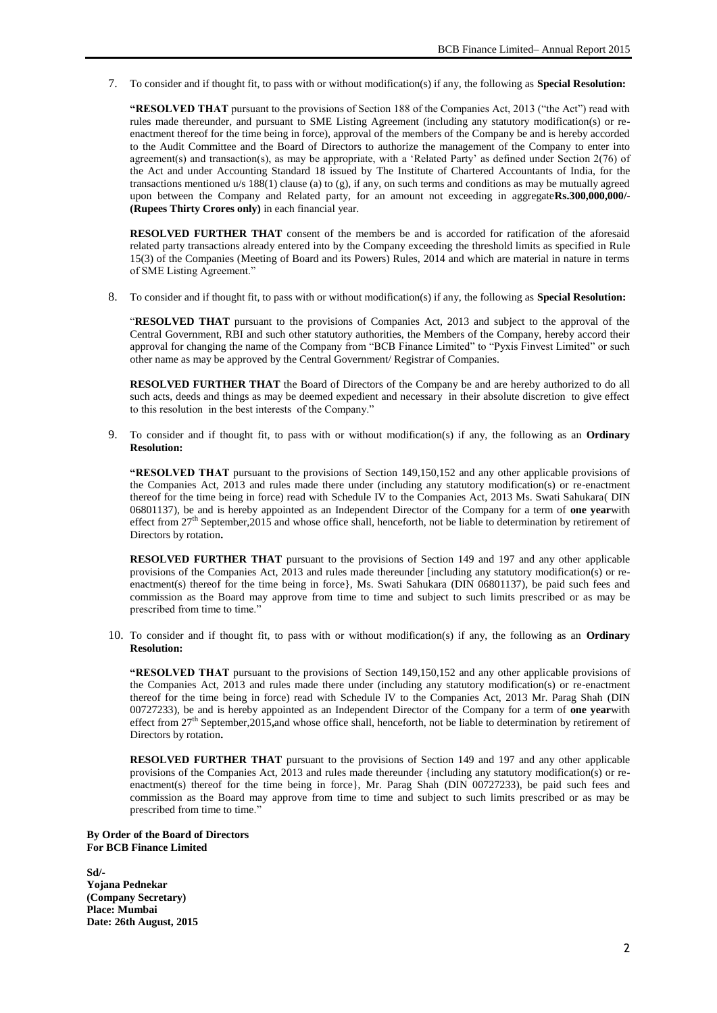7. To consider and if thought fit, to pass with or without modification(s) if any, the following as **Special Resolution:**

**"RESOLVED THAT** pursuant to the provisions of Section 188 of the Companies Act, 2013 ("the Act") read with rules made thereunder, and pursuant to SME Listing Agreement (including any statutory modification(s) or reenactment thereof for the time being in force), approval of the members of the Company be and is hereby accorded to the Audit Committee and the Board of Directors to authorize the management of the Company to enter into agreement(s) and transaction(s), as may be appropriate, with a "Related Party" as defined under Section 2(76) of the Act and under Accounting Standard 18 issued by The Institute of Chartered Accountants of India, for the transactions mentioned u/s 188(1) clause (a) to (g), if any, on such terms and conditions as may be mutually agreed upon between the Company and Related party, for an amount not exceeding in aggregate**Rs.300,000,000/- (Rupees Thirty Crores only)** in each financial year.

**RESOLVED FURTHER THAT** consent of the members be and is accorded for ratification of the aforesaid related party transactions already entered into by the Company exceeding the threshold limits as specified in Rule 15(3) of the Companies (Meeting of Board and its Powers) Rules, 2014 and which are material in nature in terms of SME Listing Agreement."

8. To consider and if thought fit, to pass with or without modification(s) if any, the following as **Special Resolution:**

"**RESOLVED THAT** pursuant to the provisions of Companies Act, 2013 and subject to the approval of the Central Government, RBI and such other statutory authorities, the Members of the Company, hereby accord their approval for changing the name of the Company from "BCB Finance Limited" to "Pyxis Finvest Limited" or such other name as may be approved by the Central Government/ Registrar of Companies.

**RESOLVED FURTHER THAT** the Board of Directors of the Company be and are hereby authorized to do all such acts, deeds and things as may be deemed expedient and necessary in their absolute discretion to give effect to this resolution in the best interests of the Company."

9. To consider and if thought fit, to pass with or without modification(s) if any, the following as an **Ordinary Resolution:**

**"RESOLVED THAT** pursuant to the provisions of Section 149,150,152 and any other applicable provisions of the Companies Act, 2013 and rules made there under (including any statutory modification(s) or re-enactment thereof for the time being in force) read with Schedule IV to the Companies Act, 2013 Ms. Swati Sahukara( DIN 06801137), be and is hereby appointed as an Independent Director of the Company for a term of **one year**with effect from  $27<sup>th</sup>$  September, 2015 and whose office shall, henceforth, not be liable to determination by retirement of Directors by rotation**.**

**RESOLVED FURTHER THAT** pursuant to the provisions of Section 149 and 197 and any other applicable provisions of the Companies Act, 2013 and rules made thereunder [including any statutory modification(s) or reenactment(s) thereof for the time being in force}, Ms. Swati Sahukara (DIN 06801137), be paid such fees and commission as the Board may approve from time to time and subject to such limits prescribed or as may be prescribed from time to time."

10. To consider and if thought fit, to pass with or without modification(s) if any, the following as an **Ordinary Resolution:**

**"RESOLVED THAT** pursuant to the provisions of Section 149,150,152 and any other applicable provisions of the Companies Act, 2013 and rules made there under (including any statutory modification(s) or re-enactment thereof for the time being in force) read with Schedule IV to the Companies Act, 2013 Mr. Parag Shah (DIN 00727233), be and is hereby appointed as an Independent Director of the Company for a term of **one year**with effect from 27th September,2015**,**and whose office shall, henceforth, not be liable to determination by retirement of Directors by rotation**.**

**RESOLVED FURTHER THAT** pursuant to the provisions of Section 149 and 197 and any other applicable provisions of the Companies Act, 2013 and rules made thereunder {including any statutory modification(s) or reenactment(s) thereof for the time being in force}, Mr. Parag Shah (DIN 00727233), be paid such fees and commission as the Board may approve from time to time and subject to such limits prescribed or as may be prescribed from time to time."

**By Order of the Board of Directors For BCB Finance Limited**

**Sd/- Yojana Pednekar (Company Secretary) Place: Mumbai Date: 26th August, 2015**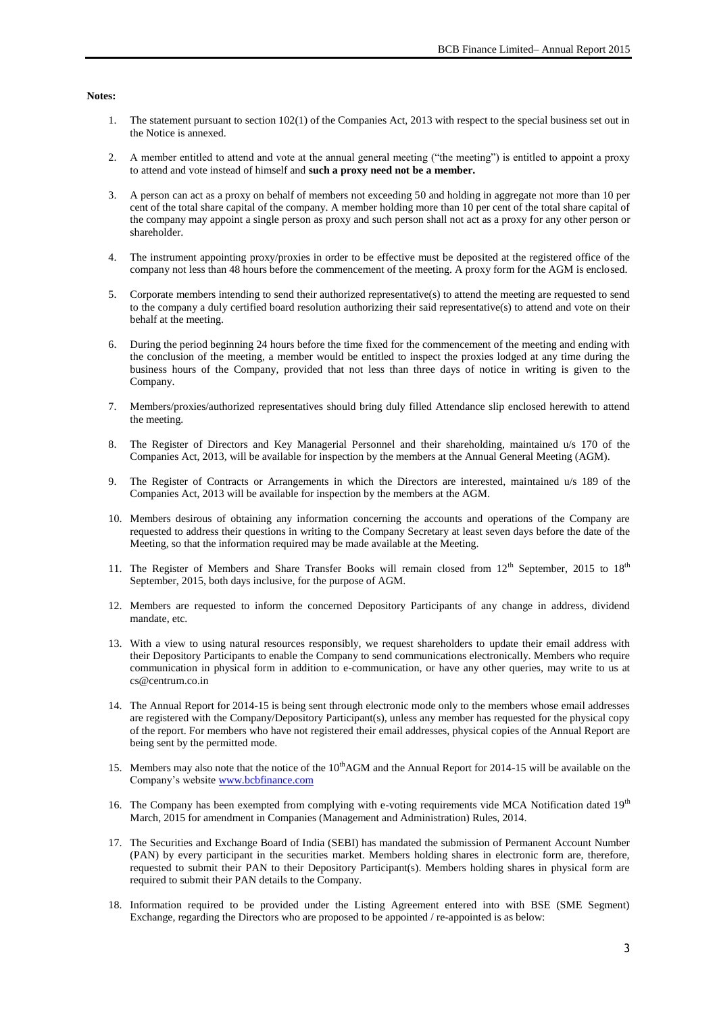#### **Notes:**

- 1. The statement pursuant to section 102(1) of the Companies Act, 2013 with respect to the special business set out in the Notice is annexed.
- 2. A member entitled to attend and vote at the annual general meeting ("the meeting") is entitled to appoint a proxy to attend and vote instead of himself and **such a proxy need not be a member.**
- 3. A person can act as a proxy on behalf of members not exceeding 50 and holding in aggregate not more than 10 per cent of the total share capital of the company. A member holding more than 10 per cent of the total share capital of the company may appoint a single person as proxy and such person shall not act as a proxy for any other person or shareholder.
- 4. The instrument appointing proxy/proxies in order to be effective must be deposited at the registered office of the company not less than 48 hours before the commencement of the meeting. A proxy form for the AGM is enclosed.
- 5. Corporate members intending to send their authorized representative(s) to attend the meeting are requested to send to the company a duly certified board resolution authorizing their said representative(s) to attend and vote on their behalf at the meeting.
- 6. During the period beginning 24 hours before the time fixed for the commencement of the meeting and ending with the conclusion of the meeting, a member would be entitled to inspect the proxies lodged at any time during the business hours of the Company, provided that not less than three days of notice in writing is given to the Company.
- 7. Members/proxies/authorized representatives should bring duly filled Attendance slip enclosed herewith to attend the meeting.
- 8. The Register of Directors and Key Managerial Personnel and their shareholding, maintained u/s 170 of the Companies Act, 2013, will be available for inspection by the members at the Annual General Meeting (AGM).
- 9. The Register of Contracts or Arrangements in which the Directors are interested, maintained u/s 189 of the Companies Act, 2013 will be available for inspection by the members at the AGM.
- 10. Members desirous of obtaining any information concerning the accounts and operations of the Company are requested to address their questions in writing to the Company Secretary at least seven days before the date of the Meeting, so that the information required may be made available at the Meeting.
- 11. The Register of Members and Share Transfer Books will remain closed from 12<sup>th</sup> September, 2015 to 18<sup>th</sup> September, 2015, both days inclusive, for the purpose of AGM.
- 12. Members are requested to inform the concerned Depository Participants of any change in address, dividend mandate, etc.
- 13. With a view to using natural resources responsibly, we request shareholders to update their email address with their Depository Participants to enable the Company to send communications electronically. Members who require communication in physical form in addition to e-communication, or have any other queries, may write to us at cs@centrum.co.in
- 14. The Annual Report for 2014-15 is being sent through electronic mode only to the members whose email addresses are registered with the Company/Depository Participant(s), unless any member has requested for the physical copy of the report. For members who have not registered their email addresses, physical copies of the Annual Report are being sent by the permitted mode.
- 15. Members may also note that the notice of the  $10<sup>th</sup> AGM$  and the Annual Report for 2014-15 will be available on the Company"s websit[e www.bcbfinance.com](http://www.bcbfinance.com/)
- 16. The Company has been exempted from complying with e-voting requirements vide MCA Notification dated 19<sup>th</sup> March, 2015 for amendment in Companies (Management and Administration) Rules, 2014.
- 17. The Securities and Exchange Board of India (SEBI) has mandated the submission of Permanent Account Number (PAN) by every participant in the securities market. Members holding shares in electronic form are, therefore, requested to submit their PAN to their Depository Participant(s). Members holding shares in physical form are required to submit their PAN details to the Company.
- 18. Information required to be provided under the Listing Agreement entered into with BSE (SME Segment) Exchange, regarding the Directors who are proposed to be appointed / re-appointed is as below: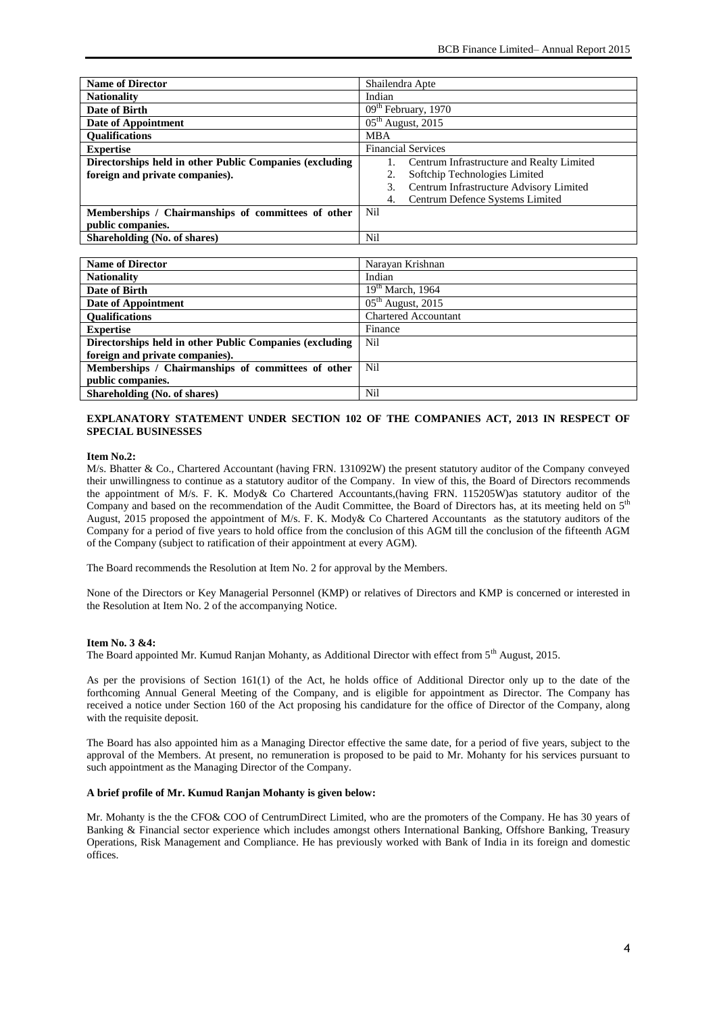| <b>Name of Director</b>                                 | Shailendra Apte                               |
|---------------------------------------------------------|-----------------------------------------------|
| <b>Nationality</b>                                      | Indian                                        |
| Date of Birth                                           | $\overline{09}$ <sup>th</sup> February, 1970  |
| Date of Appointment                                     | $\overline{05^{th}}$ August, 2015             |
| <b>Oualifications</b>                                   | <b>MBA</b>                                    |
| <b>Expertise</b>                                        | <b>Financial Services</b>                     |
| Directorships held in other Public Companies (excluding | Centrum Infrastructure and Realty Limited     |
| foreign and private companies).                         | Softchip Technologies Limited<br>2.           |
|                                                         | Centrum Infrastructure Advisory Limited<br>3. |
|                                                         | Centrum Defence Systems Limited<br>4.         |
| Memberships / Chairmanships of committees of other      | Nil                                           |
| public companies.                                       |                                               |
| Shareholding (No. of shares)                            | Nil                                           |
|                                                         |                                               |
| <b>Name of Director</b>                                 | Narayan Krishnan                              |

| Name of Director                                        | Narayan Krishnan            |
|---------------------------------------------------------|-----------------------------|
| <b>Nationality</b>                                      | Indian                      |
| Date of Birth                                           | $19th$ March, 1964          |
| Date of Appointment                                     | $05th$ August, 2015         |
| <b>Oualifications</b>                                   | <b>Chartered Accountant</b> |
| <b>Expertise</b>                                        | Finance                     |
| Directorships held in other Public Companies (excluding | Nil                         |
| foreign and private companies).                         |                             |
| Memberships / Chairmanships of committees of other      | Nil                         |
| public companies.                                       |                             |
| Shareholding (No. of shares)                            | Nil                         |

# **EXPLANATORY STATEMENT UNDER SECTION 102 OF THE COMPANIES ACT, 2013 IN RESPECT OF SPECIAL BUSINESSES**

# **Item No.2:**

M/s. Bhatter & Co., Chartered Accountant (having FRN. 131092W) the present statutory auditor of the Company conveyed their unwillingness to continue as a statutory auditor of the Company. In view of this, the Board of Directors recommends the appointment of M/s. F. K. Mody& Co Chartered Accountants,(having FRN. 115205W)as statutory auditor of the Company and based on the recommendation of the Audit Committee, the Board of Directors has, at its meeting held on 5<sup>th</sup> August, 2015 proposed the appointment of M/s. F. K. Mody& Co Chartered Accountants as the statutory auditors of the Company for a period of five years to hold office from the conclusion of this AGM till the conclusion of the fifteenth AGM of the Company (subject to ratification of their appointment at every AGM).

The Board recommends the Resolution at Item No. 2 for approval by the Members.

None of the Directors or Key Managerial Personnel (KMP) or relatives of Directors and KMP is concerned or interested in the Resolution at Item No. 2 of the accompanying Notice.

## **Item No. 3 &4:**

The Board appointed Mr. Kumud Ranjan Mohanty, as Additional Director with effect from 5<sup>th</sup> August, 2015.

As per the provisions of Section 161(1) of the Act, he holds office of Additional Director only up to the date of the forthcoming Annual General Meeting of the Company, and is eligible for appointment as Director. The Company has received a notice under Section 160 of the Act proposing his candidature for the office of Director of the Company, along with the requisite deposit.

The Board has also appointed him as a Managing Director effective the same date, for a period of five years, subject to the approval of the Members. At present, no remuneration is proposed to be paid to Mr. Mohanty for his services pursuant to such appointment as the Managing Director of the Company.

### **A brief profile of Mr. Kumud Ranjan Mohanty is given below:**

Mr. Mohanty is the the CFO& COO of CentrumDirect Limited, who are the promoters of the Company. He has 30 years of Banking & Financial sector experience which includes amongst others International Banking, Offshore Banking, Treasury Operations, Risk Management and Compliance. He has previously worked with Bank of India in its foreign and domestic offices.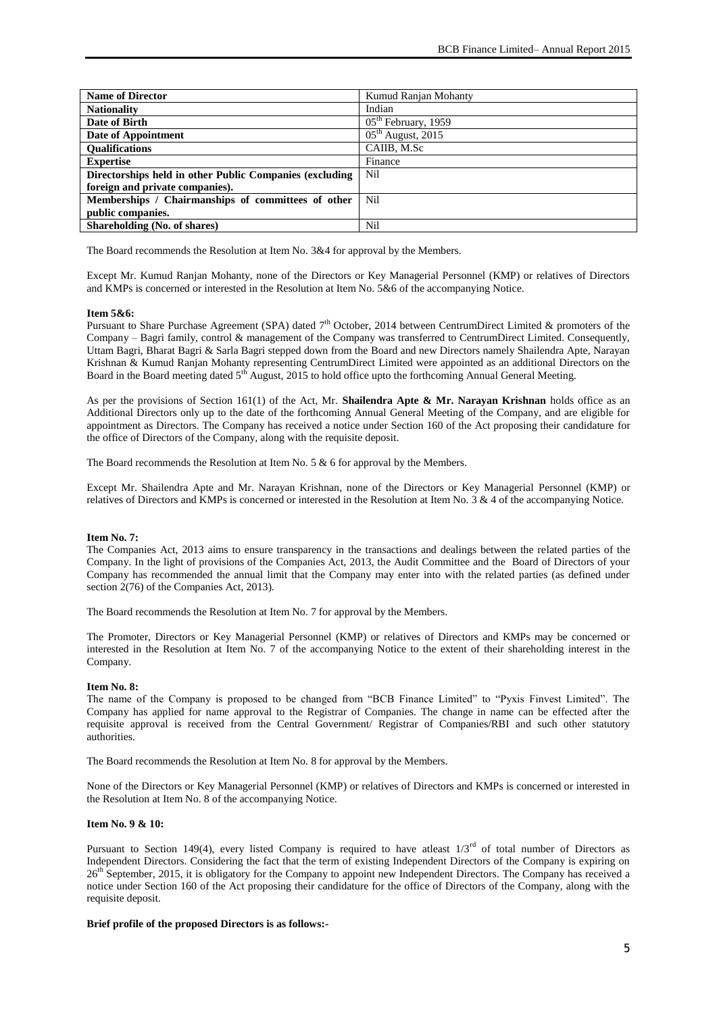| <b>Name of Director</b>                                 | Kumud Ranjan Mohanty                         |
|---------------------------------------------------------|----------------------------------------------|
| <b>Nationality</b>                                      | Indian                                       |
| Date of Birth                                           | $\overline{05}$ <sup>th</sup> February, 1959 |
| Date of Appointment                                     | $05th$ August, 2015                          |
| <b>Oualifications</b>                                   | CAIIB. M.Sc                                  |
| <b>Expertise</b>                                        | Finance                                      |
| Directorships held in other Public Companies (excluding | Nil                                          |
| foreign and private companies).                         |                                              |
| Memberships / Chairmanships of committees of other      | Nil                                          |
| public companies.                                       |                                              |
| Shareholding (No. of shares)                            | Nil                                          |

The Board recommends the Resolution at Item No. 3&4 for approval by the Members.

Except Mr. Kumud Ranjan Mohanty, none of the Directors or Key Managerial Personnel (KMP) or relatives of Directors and KMPs is concerned or interested in the Resolution at Item No. 5&6 of the accompanying Notice.

#### **Item 5&6:**

Pursuant to Share Purchase Agreement (SPA) dated 7<sup>th</sup> October, 2014 between CentrumDirect Limited & promoters of the Company – Bagri family, control & management of the Company was transferred to CentrumDirect Limited. Consequently, Uttam Bagri, Bharat Bagri & Sarla Bagri stepped down from the Board and new Directors namely Shailendra Apte, Narayan Krishnan & Kumud Ranjan Mohanty representing CentrumDirect Limited were appointed as an additional Directors on the Board in the Board meeting dated 5<sup>th</sup> August, 2015 to hold office upto the forthcoming Annual General Meeting.

As per the provisions of Section 161(1) of the Act, Mr. **Shailendra Apte & Mr. Narayan Krishnan** holds office as an Additional Directors only up to the date of the forthcoming Annual General Meeting of the Company, and are eligible for appointment as Directors. The Company has received a notice under Section 160 of the Act proposing their candidature for the office of Directors of the Company, along with the requisite deposit.

The Board recommends the Resolution at Item No. 5 & 6 for approval by the Members.

Except Mr. Shailendra Apte and Mr. Narayan Krishnan, none of the Directors or Key Managerial Personnel (KMP) or relatives of Directors and KMPs is concerned or interested in the Resolution at Item No. 3 & 4 of the accompanying Notice.

### **Item No. 7:**

The Companies Act, 2013 aims to ensure transparency in the transactions and dealings between the related parties of the Company. In the light of provisions of the Companies Act, 2013, the Audit Committee and the Board of Directors of your Company has recommended the annual limit that the Company may enter into with the related parties (as defined under section 2(76) of the Companies Act, 2013).

The Board recommends the Resolution at Item No. 7 for approval by the Members.

The Promoter, Directors or Key Managerial Personnel (KMP) or relatives of Directors and KMPs may be concerned or interested in the Resolution at Item No. 7 of the accompanying Notice to the extent of their shareholding interest in the Company.

#### **Item No. 8:**

The name of the Company is proposed to be changed from "BCB Finance Limited" to "Pyxis Finvest Limited". The Company has applied for name approval to the Registrar of Companies. The change in name can be effected after the requisite approval is received from the Central Government/ Registrar of Companies/RBI and such other statutory authorities.

The Board recommends the Resolution at Item No. 8 for approval by the Members.

None of the Directors or Key Managerial Personnel (KMP) or relatives of Directors and KMPs is concerned or interested in the Resolution at Item No. 8 of the accompanying Notice.

# **Item No. 9 & 10:**

Pursuant to Section 149(4), every listed Company is required to have atleast  $1/3^{rd}$  of total number of Directors as Independent Directors. Considering the fact that the term of existing Independent Directors of the Company is expiring on 26<sup>th</sup> September, 2015, it is obligatory for the Company to appoint new Independent Directors. The Company has received a notice under Section 160 of the Act proposing their candidature for the office of Directors of the Company, along with the requisite deposit.

#### **Brief profile of the proposed Directors is as follows:-**